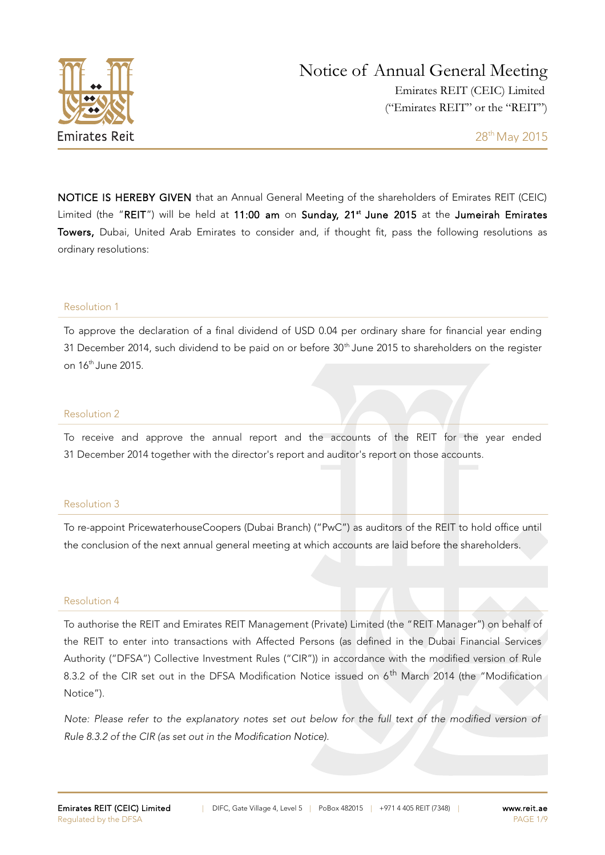

NOTICE IS HEREBY GIVEN that an Annual General Meeting of the shareholders of Emirates REIT (CEIC) Limited (the "REIT") will be held at 11:00 am on Sunday, 21<sup>st</sup> June 2015 at the Jumeirah Emirates Towers, Dubai, United Arab Emirates to consider and, if thought fit, pass the following resolutions as ordinary resolutions:

#### Resolution 1

To approve the declaration of a final dividend of USD 0.04 per ordinary share for financial year ending 31 December 2014, such dividend to be paid on or before 30<sup>th</sup> June 2015 to shareholders on the register on 16th June 2015.

#### Resolution 2

To receive and approve the annual report and the accounts of the REIT for the year ended 31 December 2014 together with the director's report and auditor's report on those accounts.

#### Resolution 3

To re-appoint PricewaterhouseCoopers (Dubai Branch) ("PwC") as auditors of the REIT to hold office until the conclusion of the next annual general meeting at which accounts are laid before the shareholders.

#### Resolution 4

To authorise the REIT and Emirates REIT Management (Private) Limited (the "REIT Manager") on behalf of the REIT to enter into transactions with Affected Persons (as defined in the Dubai Financial Services Authority ("DFSA") Collective Investment Rules ("CIR")) in accordance with the modified version of Rule 8.3.2 of the CIR set out in the DFSA Modification Notice issued on 6<sup>th</sup> March 2014 (the "Modification Notice").

Note: Please refer to the explanatory notes set out below for the full text of the modified version of Rule 8.3.2 of the CIR (as set out in the Modification Notice).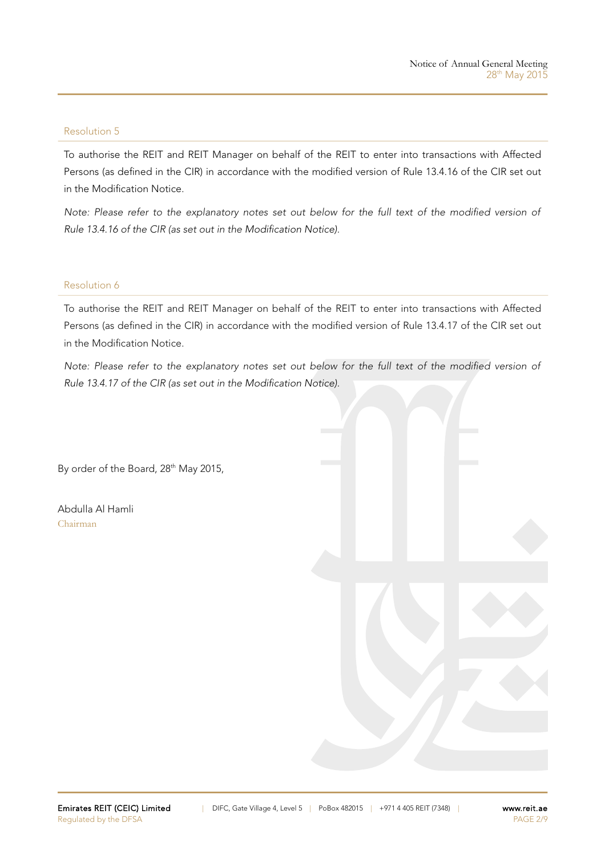#### Resolution 5

To authorise the REIT and REIT Manager on behalf of the REIT to enter into transactions with Affected Persons (as defined in the CIR) in accordance with the modified version of Rule 13.4.16 of the CIR set out in the Modification Notice.

Note: Please refer to the explanatory notes set out below for the full text of the modified version of Rule 13.4.16 of the CIR (as set out in the Modification Notice).

#### Resolution 6

To authorise the REIT and REIT Manager on behalf of the REIT to enter into transactions with Affected Persons (as defined in the CIR) in accordance with the modified version of Rule 13.4.17 of the CIR set out in the Modification Notice.

Note: Please refer to the explanatory notes set out below for the full text of the modified version of Rule 13.4.17 of the CIR (as set out in the Modification Notice).

By order of the Board, 28<sup>th</sup> May 2015,

Abdulla Al Hamli Chairman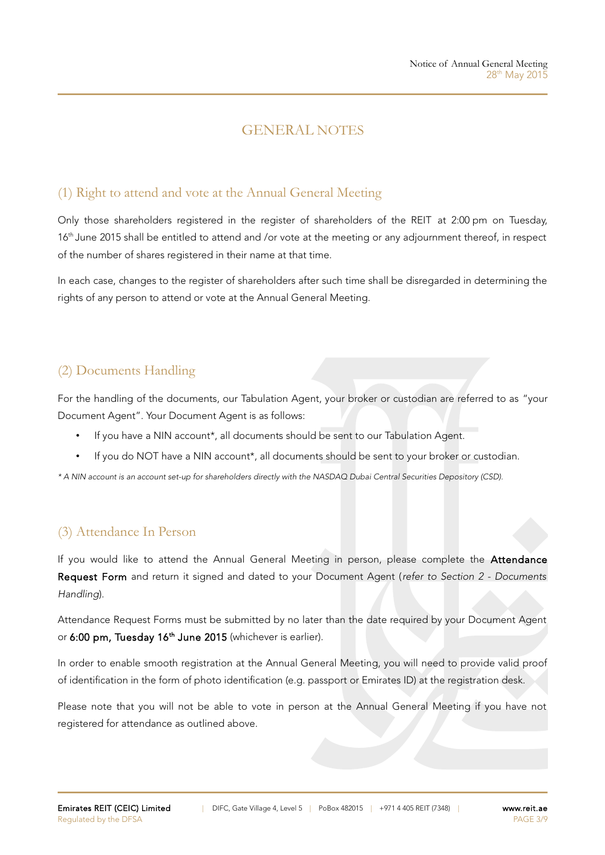## GENERAL NOTES

## (1) Right to attend and vote at the Annual General Meeting

Only those shareholders registered in the register of shareholders of the REIT at 2:00 pm on Tuesday, 16<sup>th</sup> June 2015 shall be entitled to attend and /or vote at the meeting or any adjournment thereof, in respect of the number of shares registered in their name at that time.

In each case, changes to the register of shareholders after such time shall be disregarded in determining the rights of any person to attend or vote at the Annual General Meeting.

# (2) Documents Handling

For the handling of the documents, our Tabulation Agent, your broker or custodian are referred to as "your Document Agent". Your Document Agent is as follows:

- If you have a NIN account\*, all documents should be sent to our Tabulation Agent.
- If you do NOT have a NIN account\*, all documents should be sent to your broker or custodian.

\* A NIN account is an account set-up for shareholders directly with the NASDAQ Dubai Central Securities Depository (CSD).

## (3) Attendance In Person

If you would like to attend the Annual General Meeting in person, please complete the Attendance Request Form and return it signed and dated to your Document Agent (refer to Section 2 - Documents Handling).

Attendance Request Forms must be submitted by no later than the date required by your Document Agent or 6:00 pm, Tuesday 16<sup>th</sup> June 2015 (whichever is earlier).

In order to enable smooth registration at the Annual General Meeting, you will need to provide valid proof of identification in the form of photo identification (e.g. passport or Emirates ID) at the registration desk.

Please note that you will not be able to vote in person at the Annual General Meeting if you have not registered for attendance as outlined above.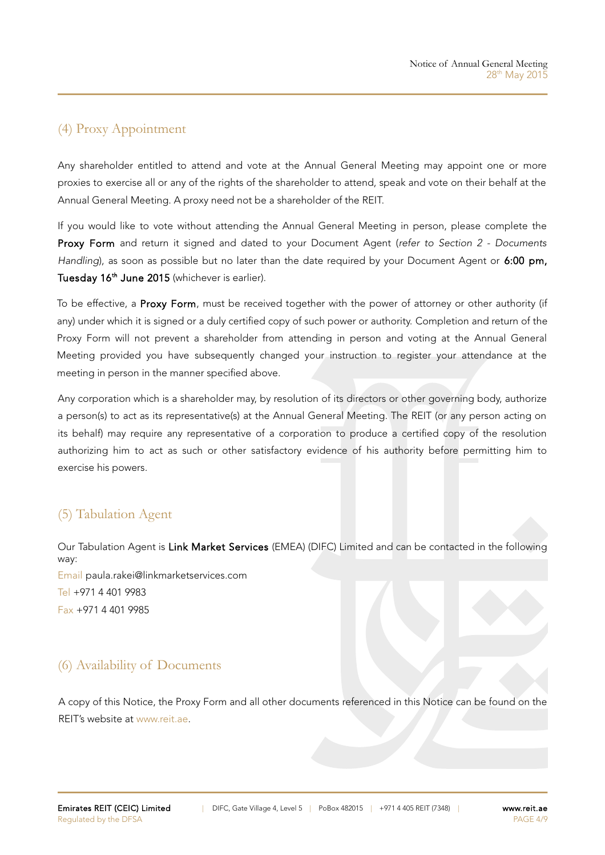# (4) Proxy Appointment

Any shareholder entitled to attend and vote at the Annual General Meeting may appoint one or more proxies to exercise all or any of the rights of the shareholder to attend, speak and vote on their behalf at the Annual General Meeting. A proxy need not be a shareholder of the REIT.

If you would like to vote without attending the Annual General Meeting in person, please complete the Proxy Form and return it signed and dated to your Document Agent (refer to Section 2 - Documents Handling), as soon as possible but no later than the date required by your Document Agent or 6:00 pm, Tuesday 16<sup>th</sup> June 2015 (whichever is earlier).

To be effective, a Proxy Form, must be received together with the power of attorney or other authority (if any) under which it is signed or a duly certified copy of such power or authority. Completion and return of the Proxy Form will not prevent a shareholder from attending in person and voting at the Annual General Meeting provided you have subsequently changed your instruction to register your attendance at the meeting in person in the manner specified above.

Any corporation which is a shareholder may, by resolution of its directors or other governing body, authorize a person(s) to act as its representative(s) at the Annual General Meeting. The REIT (or any person acting on its behalf) may require any representative of a corporation to produce a certified copy of the resolution authorizing him to act as such or other satisfactory evidence of his authority before permitting him to exercise his powers.

## (5) Tabulation Agent

Our Tabulation Agent is Link Market Services (EMEA) (DIFC) Limited and can be contacted in the following way: Email [paula.rakei@linkmarketservices.com](mailto:paule.rakei@linkmarketservices.com) Tel +971 4 401 9983 Fax +971 4 401 9985

## (6) Availability of Documents

A copy of this Notice, the Proxy Form and all other documents referenced in this Notice can be found on the REIT's website at [www.reit.ae.](http://www.reit.ae/)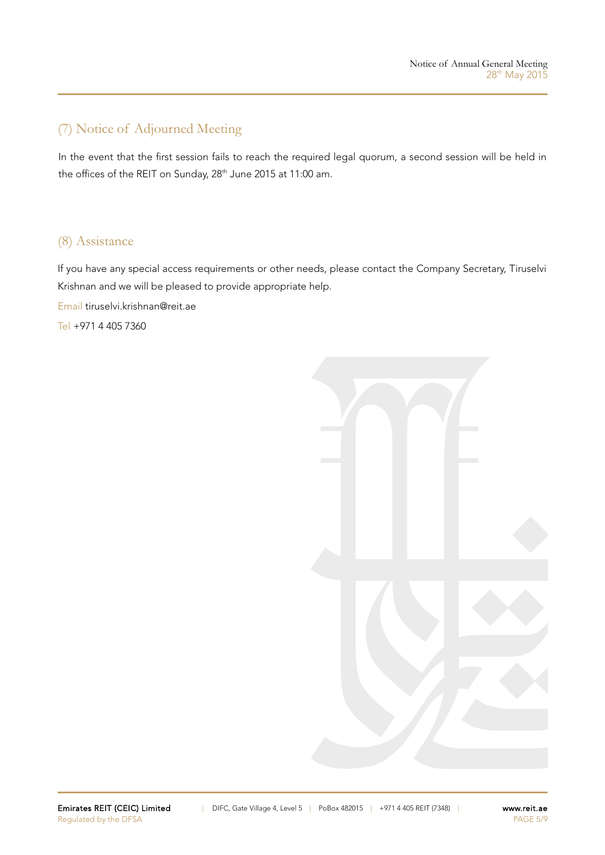# (7) Notice of Adjourned Meeting

In the event that the first session fails to reach the required legal quorum, a second session will be held in the offices of the REIT on Sunday, 28<sup>th</sup> June 2015 at 11:00 am.

## (8) Assistance

If you have any special access requirements or other needs, please contact the Company Secretary, Tiruselvi Krishnan and we will be pleased to provide appropriate help.

Email [tiruselvi.krishnan@reit.ae](mailto:tiruselvi.krishnan@reit.ae)

Tel +971 4 405 7360

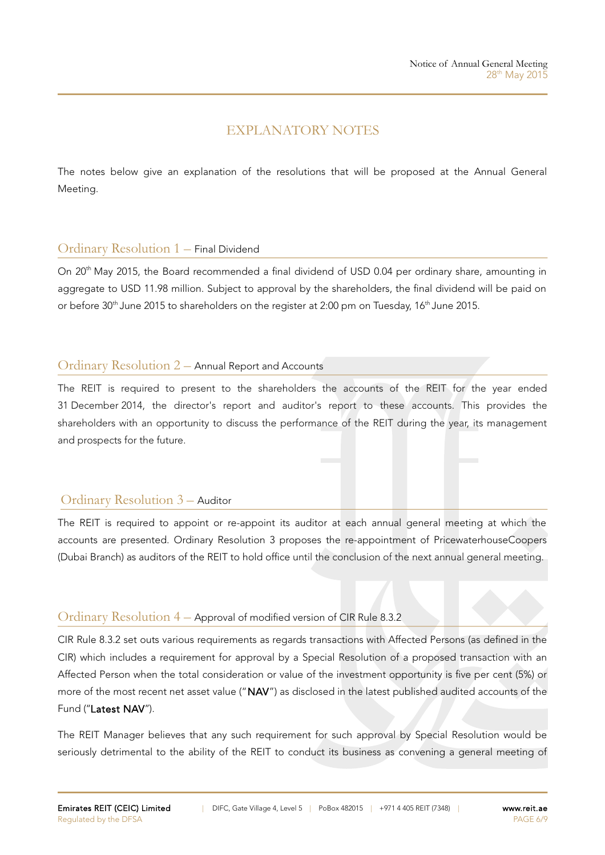## EXPLANATORY NOTES

The notes below give an explanation of the resolutions that will be proposed at the Annual General Meeting.

### Ordinary Resolution 1 – Final Dividend

On 20<sup>th</sup> May 2015, the Board recommended a final dividend of USD 0.04 per ordinary share, amounting in aggregate to USD 11.98 million. Subject to approval by the shareholders, the final dividend will be paid on or before 30<sup>th</sup> June 2015 to shareholders on the register at 2:00 pm on Tuesday, 16<sup>th</sup> June 2015.

### Ordinary Resolution 2 – Annual Report and Accounts

The REIT is required to present to the shareholders the accounts of the REIT for the year ended 31 December 2014, the director's report and auditor's report to these accounts. This provides the shareholders with an opportunity to discuss the performance of the REIT during the year, its management and prospects for the future.

### Ordinary Resolution 3 – Auditor

The REIT is required to appoint or re-appoint its auditor at each annual general meeting at which the accounts are presented. Ordinary Resolution 3 proposes the re-appointment of PricewaterhouseCoopers (Dubai Branch) as auditors of the REIT to hold office until the conclusion of the next annual general meeting.

### Ordinary Resolution 4 – Approval of modified version of CIR Rule 8.3.2

CIR Rule 8.3.2 set outs various requirements as regards transactions with Affected Persons (as defined in the CIR) which includes a requirement for approval by a Special Resolution of a proposed transaction with an Affected Person when the total consideration or value of the investment opportunity is five per cent (5%) or more of the most recent net asset value ("NAV") as disclosed in the latest published audited accounts of the Fund ("Latest NAV").

The REIT Manager believes that any such requirement for such approval by Special Resolution would be seriously detrimental to the ability of the REIT to conduct its business as convening a general meeting of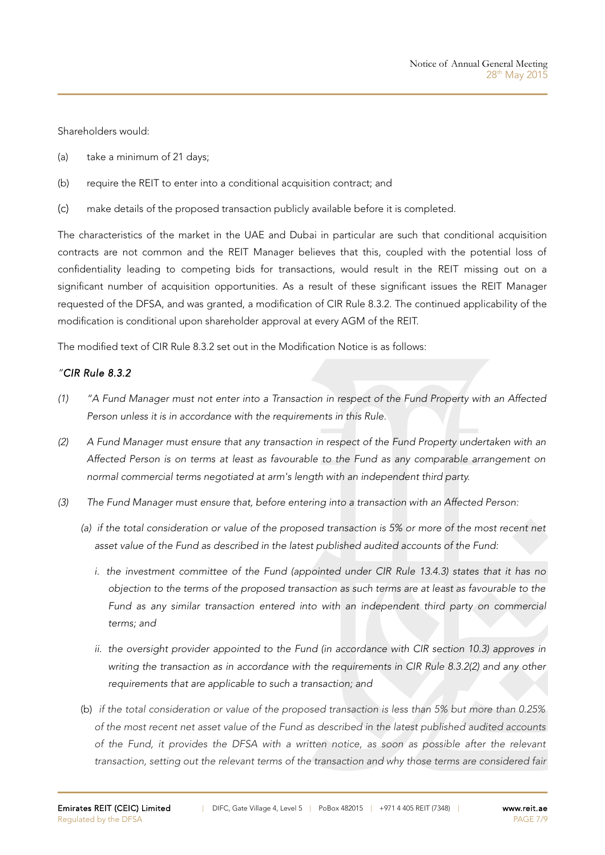Shareholders would:

- (a) take a minimum of 21 days;
- (b) require the REIT to enter into a conditional acquisition contract; and
- (c) make details of the proposed transaction publicly available before it is completed.

The characteristics of the market in the UAE and Dubai in particular are such that conditional acquisition contracts are not common and the REIT Manager believes that this, coupled with the potential loss of confidentiality leading to competing bids for transactions, would result in the REIT missing out on a significant number of acquisition opportunities. As a result of these significant issues the REIT Manager requested of the DFSA, and was granted, a modification of CIR Rule 8.3.2. The continued applicability of the modification is conditional upon shareholder approval at every AGM of the REIT.

The modified text of CIR Rule 8.3.2 set out in the Modification Notice is as follows:

### "CIR Rule 8.3.2

- (1) "A Fund Manager must not enter into a Transaction in respect of the Fund Property with an Affected Person unless it is in accordance with the requirements in this Rule.
- (2) A Fund Manager must ensure that any transaction in respect of the Fund Property undertaken with an Affected Person is on terms at least as favourable to the Fund as any comparable arrangement on normal commercial terms negotiated at arm's length with an independent third party.
- (3) The Fund Manager must ensure that, before entering into a transaction with an Affected Person:
	- (a) if the total consideration or value of the proposed transaction is 5% or more of the most recent net asset value of the Fund as described in the latest published audited accounts of the Fund:
		- i. the investment committee of the Fund (appointed under CIR Rule 13.4.3) states that it has no objection to the terms of the proposed transaction as such terms are at least as favourable to the Fund as any similar transaction entered into with an independent third party on commercial terms; and
		- ii. the oversight provider appointed to the Fund (in accordance with CIR section 10.3) approves in writing the transaction as in accordance with the requirements in CIR Rule 8.3.2(2) and any other requirements that are applicable to such a transaction; and
	- (b) if the total consideration or value of the proposed transaction is less than 5% but more than 0.25% of the most recent net asset value of the Fund as described in the latest published audited accounts of the Fund, it provides the DFSA with a written notice, as soon as possible after the relevant transaction, setting out the relevant terms of the transaction and why those terms are considered fair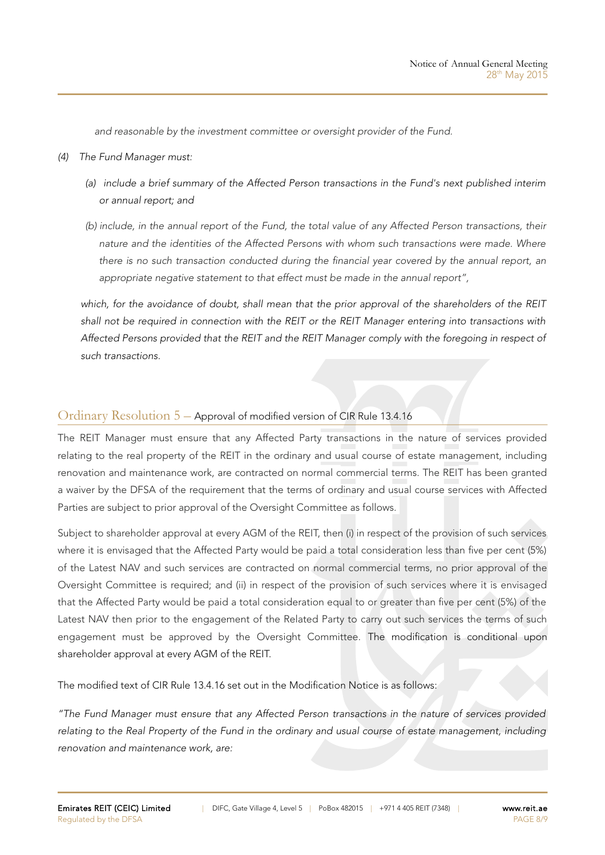and reasonable by the investment committee or oversight provider of the Fund.

- (4) The Fund Manager must:
	- (a) include a brief summary of the Affected Person transactions in the Fund's next published interim or annual report; and
	- (b) include, in the annual report of the Fund, the total value of any Affected Person transactions, their nature and the identities of the Affected Persons with whom such transactions were made. Where there is no such transaction conducted during the financial year covered by the annual report, an appropriate negative statement to that effect must be made in the annual report",

which, for the avoidance of doubt, shall mean that the prior approval of the shareholders of the REIT shall not be required in connection with the REIT or the REIT Manager entering into transactions with Affected Persons provided that the REIT and the REIT Manager comply with the foregoing in respect of such transactions.

### Ordinary Resolution 5 – Approval of modified version of CIR Rule 13.4.16

The REIT Manager must ensure that any Affected Party transactions in the nature of services provided relating to the real property of the REIT in the ordinary and usual course of estate management, including renovation and maintenance work, are contracted on normal commercial terms. The REIT has been granted a waiver by the DFSA of the requirement that the terms of ordinary and usual course services with Affected Parties are subject to prior approval of the Oversight Committee as follows.

Subject to shareholder approval at every AGM of the REIT, then (i) in respect of the provision of such services where it is envisaged that the Affected Party would be paid a total consideration less than five per cent (5%) of the Latest NAV and such services are contracted on normal commercial terms, no prior approval of the Oversight Committee is required; and (ii) in respect of the provision of such services where it is envisaged that the Affected Party would be paid a total consideration equal to or greater than five per cent (5%) of the Latest NAV then prior to the engagement of the Related Party to carry out such services the terms of such engagement must be approved by the Oversight Committee. The modification is conditional upon shareholder approval at every AGM of the REIT.

The modified text of CIR Rule 13.4.16 set out in the Modification Notice is as follows:

"The Fund Manager must ensure that any Affected Person transactions in the nature of services provided relating to the Real Property of the Fund in the ordinary and usual course of estate management, including renovation and maintenance work, are: